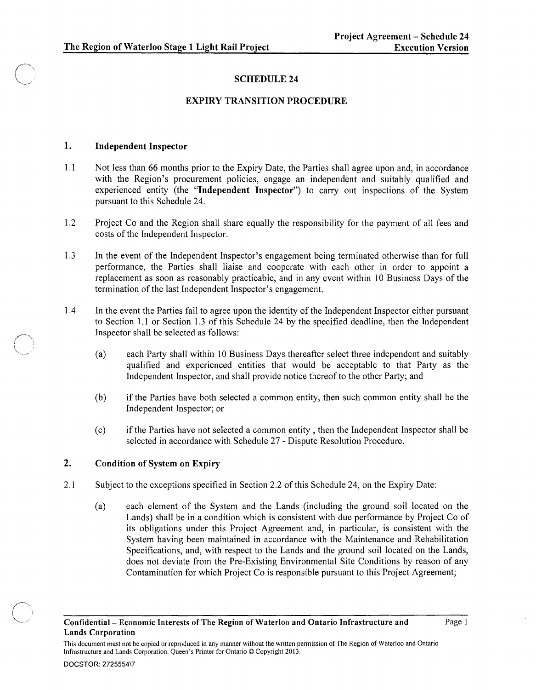# SCHEDULE 24

## EXPIRY TRANSITION PROCEDURE

### 1. Independent Inspector

 $\bigcirc$ 

- 1.1 Not less than 66 months prior to the Expiry Date, the Parties shall agree upon and, in accordance with the Region's procurement policies, engage an independent and suitably qualified and experienced entity (the "Independent Inspector") to carry out inspections of the System pursuant to this Schedule 24.
- 1.2 Project Co and the Region shall share equally the responsibility for the payment of all fees and costs of the Independent Inspector.
- 1.3 In the event of the Independent Inspector's engagement being terminated otherwise than for full performance, the Parties shall liaise and cooperate with each other in order to appoint a replacement as soon as reasonably practicable, and in any event within 10 Business Days of the termination of the last Independent Inspector's engagement.
- 1.4 In the event the Parties fail to agree upon the identity of the Independent Inspector either pursuant to Section 1.1 or Section 1.3 of this Schedule 24 by the specified deadline, then the Independent Inspector shall be selected as follows:
	- (a) each Party shall within 10 Business Days thereafter select three independent and suitably qualified and experienced entities that would be acceptable to that Party as the Independent Inspector, and shall provide notice thereof to the other Party; and
	- (b) if the Parties have both selected a common entity, then such common entity shall be the Independent Inspector; or
	- (c) if the Parties have not selected a common entity, then the Independent Inspector shall be selected in accordance with Schedule 27 - Dispute Resolution Procedure.

### 2. Condition of System on Expiry

- 2.1 Subject to the exceptions specified in Section 2.2 of this Schedule 24, on the Expiry Date:
	- (a) each element of the System and the Lands (including the ground soil located on the Lands) shall be in a condition which is consistent with due performance by Project Co of its obligations under this Project Agreement and, in particular, is consistent with the System having been maintained in accordance with the Maintenance and Rehabilitation Specifications, and, with respect to the Lands and the ground soil located on the Lands, does not deviate from the Pre-Existing Environmental Site Conditions by reason of any Contamination for which Project Co is responsible pursuant to this Project Agreement;

This document must not be copied or reproduced in any manner without the written permission of The Region of Waterloo and Ontario Infrastructure and Lands Corporation. Queen's Printer for Ontario © Copyright 2013.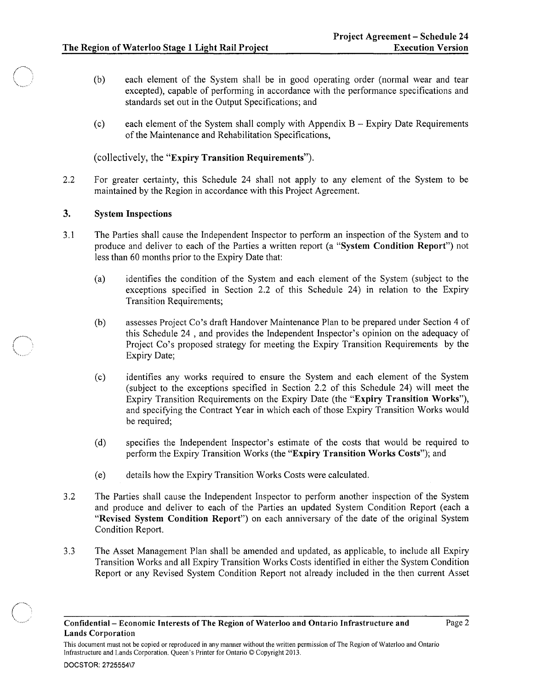- (b) each element of the System shall be in good operating order (normal wear and tear excepted), capable of performing in accordance with the performance specifications and standards set out in the Output Specifications; and
- (c) each element of the System shall comply with Appendix B Expiry Date Requirements of the Maintenance and Rehabilitation Specifications,

(collectively, the "Expiry Transition Requirements").

2.2 For greater certainty, this Schedule 24 shall not apply to any element of the System to be maintained by the Region in accordance with this Project Agreement.

### 3. System Inspections

 $\ell\rightarrow\infty$ 1", ~ v.-'"

- 3.1 The Parties shall cause the Independent Inspector to perform an inspection of the System and to produce and deliver to each of the Parties a written report (a "System Condition Report") not less than 60 months prior to the Expiry Date that:
	- (a) identifies the condition of the System and each element of the System (subject to the exceptions specified in Section 2.2 of this Schedule 24) in relation to the Expiry Transition Requirements;
	- (b) assesses Project Co's draft Handover Maintenance Plan to be prepared under Section 4 of this Schedule 24 , and provides the Independent Inspector's opinion on the adequacy of Project Co's proposed strategy for meeting the Expiry Transition Requirements by the Expiry Date;
	- (c) identifies any works required to ensure the System and each element of the System (subject to the exceptions specified in Section 2.2 of this Schedule 24) will meet the Expiry Transition Requirements on the Expiry Date (the "Expiry Transition Works"), and specifying the Contract Year in which each of those Expiry Transition Works would be required;
	- (d) specifies the Independent Inspector's estimate of the costs that would be required to perform the Expiry Transition Works (the "Expiry Transition Works Costs"); and
	- (e) details how the Expiry Transition Works Costs were calculated.
- 3.2 The Parties shall cause the Independent Inspector to perform another inspection of the System and produce and deliver to each of the Parties an updated System Condition Report (each a "Revised System Condition Report") on each anniversary of the date of the original System Condition Report.
- 3.3 The Asset Management Plan shall be amended and updated, as applicable, to include all Expiry Transition Works and all Expiry Transition Works Costs identified in either the System Condition Report or any Revised System Condition Report not already included in the then current Asset

This document must not be copied or reproduced in any manner without the written permission of The Region of Waterloo and Ontario Infrastructure and Lands Corporation. Queen's Printer for Ontario © Copyright 2013.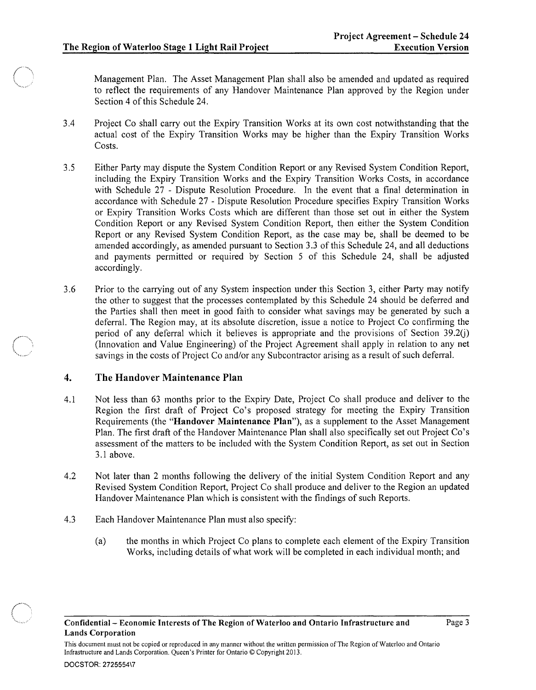$~\cdot~$  $\left(\frac{1}{\sqrt{2}}\right)^2$ 

Management Plan. The Asset Management Plan shall also be amended and updated as required to reflect the requirements of any Handover Maintenance Plan approved by the Region under Section 4 of this Schedule 24.

- 3.4 Project Co shall carry out the Expiry Transition Works at its own cost notwithstanding that the actual cost of the Expiry Transition Works may be higher than the Expiry Transition Works Costs.
- 3.5 Either Party may dispute the System Condition Report or any Revised System Condition Report, including the Expiry Transition Works and the Expiry Transition Works Costs, in accordance with Schedule 27 - Dispute Resolution Procedure. In the event that a final determination in accordance with Schedule 27 - Dispute Resolution Procedure specifies Expiry Transition Works or Expiry Transition Works Costs which are different than those set out in either the System Condition Report or any Revised System Condition Report, then either the System Condition Report or any Revised System Condition Report, as the case may be, shall be deemed to be amended accordingly, as amended pursuant to Section 3.3 of this Schedule 24, and all deductions and payments permitted or required by Section 5 of this Schedule 24, shall be adjusted accordingly.
- 3.6 Prior to the carrying out of any System inspection under this Section 3, either Party may notify the other to suggest that the processes contemplated by this Schedule 24 should be deferred and the Parties shall then meet in good faith to consider what savings may be generated by such a deferral. The Region may, at its absolute discretion, issue a notice to Project Co confirming the period of any deferral which it believes is appropriate and the provisions of Section  $39.2(i)$ (Innovation and Value Engineering) of the Project Agreement shall apply in relation to any net savings in the costs of Project Co and/or any Subcontractor arising as a result of such deferral.

### 4. The Handover Maintenance Plan

- 4.1 Not less than 63 months prior to the Expiry Date, Project Co shall produce and deliver to the Region the first draft of Project Co's proposed strategy for meeting the Expiry Transition Requirements (the "Handover Maintenance Plan"), as a supplement to the Asset Management Plan. The first draft of the Handover Maintenance Plan shall also specifically set out Project Co's assessment of the matters to be included with the System Condition Report, as set out in Section 3.1 above.
- 4.2 Not later than 2 months following the delivery of the initial System Condition Report and any Revised System Condition Report, Project Co shall produce and deliver to the Region an updated Handover Maintenance Plan which is consistent with the findings of such Reports.
- 4.3 Each Handover Maintenance Plan must also specify:
	- (a) the months in which Project Co plans to complete each element of the Expiry Transition Works, including details of what work will be completed in each individual month; and

This document must not be copied or reproduced in any manner without the written permission of The Region of Waterloo and Ontario Infrastructure and Lands Corporation. Queen's Printer for Ontario © Copyright 2013.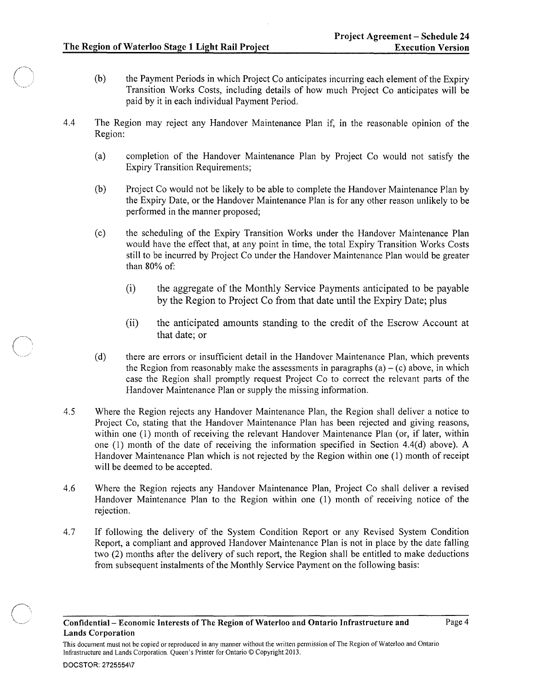- (b) the Payment Periods in which Project Co anticipates incurring each element of the Expiry Transition Works Costs, including details of how much Project Co anticipates will be paid by it in each individual Payment Period.
- 4.4 The Region may reject any Handover Maintenance Plan if, in the reasonable opinion of the Region:
	- (a) completion of the Handover Maintenance Plan by Project Co would not satisfy the Expiry Transition Requirements;
	- (b) Project Co would not be likely to be able to complete the Handover Maintenance Plan by the Expiry Date, or the Handover Maintenance Plan is for any other reason unlikely to be performed in the manner proposed;
	- (c) the scheduling of the Expiry Transition Works under the Handover Maintenance Plan would have the effect that, at any point in time, the total Expiry Transition Works Costs still to be incurred by Project Co under the Handover Maintenance Plan would be greater than 80% of:
		- (i) the aggregate of the Monthly Service Payments anticipated to be payable by the Region to Project Co from that date until the Expiry Date; plus
		- (ii) the anticipated amounts standing to the credit of the Escrow Account at that date; or
	- (d) there are errors or insufficient detail in the Handover Maintenance Plan, which prevents the Region from reasonably make the assessments in paragraphs (a)  $-$  (c) above, in which case the Region shall promptly request Project Co to correct the relevant parts of the Handover Maintenance Plan or supply the missing information.
- 4.5 Where the Region rejects any Handover Maintenance Plan, the Region shall deliver a notice to Project Co, stating that the Handover Maintenance Plan has been rejected and giving reasons, within one (1) month of receiving the relevant Handover Maintenance Plan (or, if later, within one (1) month of the date of receiving the information specified in Section 4.4(d) above). A Handover Maintenance Plan which is not rejected by the Region within one (1) month of receipt will be deemed to be accepted.
- 4.6 Where the Region rejects any Handover Maintenance Plan, Project Co shall deliver a revised Handover Maintenance Plan to the Region within one (1) month of receiving notice of the rejection.
- 4.7 If following the delivery of the System Condition Report or any Revised System Condition Report, a compliant and approved Handover Maintenance Plan is not in place by the date falling two (2) months after the delivery of such report, the Region shall be entitled to make deductions from subsequent instalments of the Monthly Service Payment on the following basis:

This document must not be copied or reproduced in any manner without the written permission of The Region of Waterloo and Ontario Infrastructure and Lands Corporation. Queen's Printer for Ontario © Copyright 2013.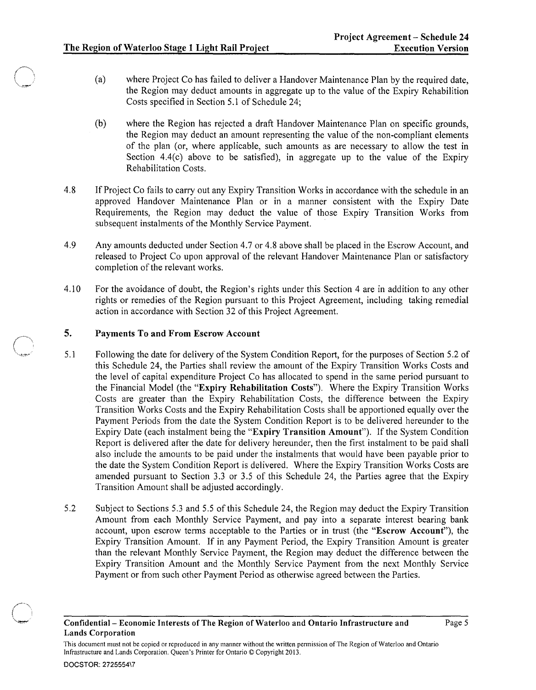- (a) where Project Co has failed to deliver a Handover Maintenance Plan by the required date, the Region may deduct amounts in aggregate up to the value of the Expiry Rehabilition Costs specified in Section 5.1 of Schedule 24;
- (b) where the Region has rejected a draft Handover Maintenance Plan on specific grounds, the Region may deduct an amount representing the value of the non-compliant elements of the plan (or, where applicable, such amounts as are necessary to allow the test in Section  $4.4(c)$  above to be satisfied), in aggregate up to the value of the Expiry Rehabilitation Costs.
- 4.8 If Project Co fails to carry out any Expiry Transition Works in accordance with the schedule in an approved Handover Maintenance Plan or in a manner consistent with the Expiry Date Requirements, the Region may deduct the value of those Expiry Transition Works from subsequent instalments of the Monthly Service Payment.
- 4.9 Any amounts deducted under Section 4.7 or 4.8 above shall be placed in the Escrow Account, and released to Project Co upon approval of the relevant Handover Maintenance Plan or satisfactory completion of the relevant works.
- 4.1 0 For the avoidance of doubt, the Region's rights under this Section 4 are in addition to any other rights or remedies of the Region pursuant to this Project Agreement, including taking remedial action in accordance with Section 32 of this Project Agreement.

#### 5. Payments To and From Escrow Account

- 5.1 Following the date for delivery of the System Condition Report, for the purposes of Section 5.2 of this Schedule 24, the Parties shall review the amount of the Expiry Transition Works Costs and the level of capital expenditure Project Co has allocated to spend in the same period pursuant to the Financial Model (the "Expiry Rehabilitation Costs"). Where the Expiry Transition Works Costs are greater than the Expiry Rehabilitation Costs, the difference between the Expiry Transition Works Costs and the Expiry Rehabilitation Costs shall be apportioned equally over the Payment Periods from the date the System Condition Report is to be delivered hereunder to the Expiry Date (each instalment being the "Expiry Transition Amount"). If the System Condition Report is delivered after the date for delivery hereunder, then the first instalment to be paid shall also include the amounts to be paid under the instalments that would have been payable prior to the date the System Condition Report is delivered. Where the Expiry Transition Works Costs are amended pursuant to Section 3.3 or 3.5 of this Schedule 24, the Parties agree that the Expiry Transition Amount shall be adjusted accordingly.
- 5.2 Subject to Sections 5.3 and 5.5 of this Schedule 24, the Region may deduct the Expiry Transition Amount from each Monthly Service Payment, and pay into a separate interest bearing bank account, upon escrow terms acceptable to the Parties or in trust (the "Escrow Account"), the Expiry Transition Amount. If in any Payment Period, the Expiry Transition Amount is greater than the relevant Monthly Service Payment, the Region may deduct the difference between the Expiry Transition Amount and the Monthly Service Payment from the next Monthly Service Payment or from such other Payment Period as otherwise agreed between the Parties.

This document must not be copied or reproduced in any manner without the written permission of The Region of Waterloo and Ontario Infrastructure and Lands Corporation. Queen's Printer for Ontario © Copyright 2013.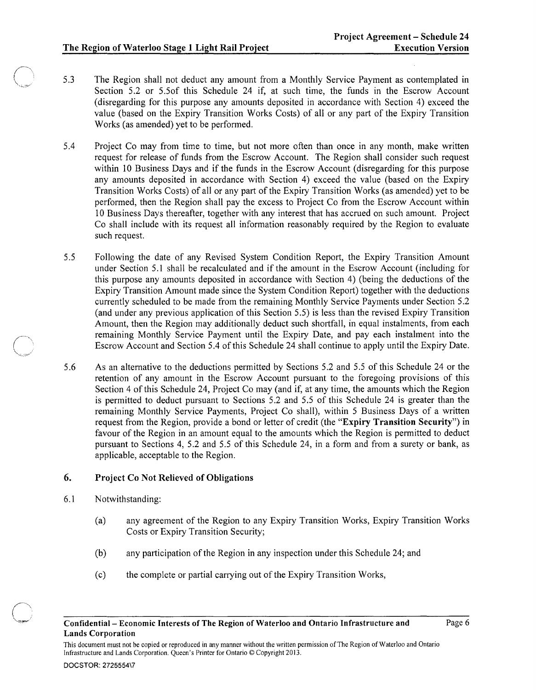- 5.3 The Region shall not deduct any amount from a Monthly Service Payment as contemplated in Section 5.2 or 5.50f this Schedule 24 if, at such time, the funds in the Escrow Account (disregarding for this purpose any amounts deposited in accordance with Section 4) exceed the value (based on the Expiry Transition Works Costs) of all or any part of the Expiry Transition Works (as amended) yet to be performed.
- 5.4 Project Co may from time to time, but not more often than once in any month, make written request for release of funds from the Escrow Account. The Region shall consider such request within 10 Business Days and if the funds in the Escrow Account (disregarding for this purpose any amounts deposited in accordance with Section 4) exceed the value (based on the Expiry Transition Works Costs) of all or any part of the Expiry Transition Works (as amended) yet to be performed, then the Region shall pay the excess to Project Co from the Escrow Account within 10 Business Days thereafter, together with any interest that has accrued on such amount. Project Co shall include with its request all information reasonably required by the Region to evaluate such request.
- 5.5 Following the date of any Revised System Condition Report, the Expiry Transition Amount under Section 5.1 shall be recalculated and if the amount in the Escrow Account (including for this purpose any amounts deposited in accordance with Section 4) (being the deductions of the Expiry Transition Amount made since the System Condition Report) together with the deductions currently scheduled to be made from the remaining Monthly Service Payments under Section 5.2 (and under any previous application of this Section 5.5) is less than the revised Expiry Transition Amount, then the Region may additionally deduct such shortfall, in equal instalments, from each remaining Monthly Service Payment until the Expiry Date, and pay each instalment into the Escrow Account and Section 5.4 of this Schedule 24 shall continue to apply until the Expiry Date.
- 5.6 As an alternative to the deductions permitted by Sections 5.2 and 5.5 of this Schedule 24 or the retention of any amount in the Escrow Account pursuant to the foregoing provisions of this Section 4 of this Schedule 24, Project Co may (and if, at any time, the amounts which the Region is permitted to deduct pursuant to Sections 5.2 and 5.5 of this Schedule 24 is greater than the remaining Monthly Service Payments, Project Co shall), within 5 Business Days of a written request from the Region, provide a bond or letter of credit (the "Expiry Transition Security") in favour of the Region in an amount equal to the amounts which the Region is permitted to deduct pursuant to Sections 4, 5.2 and 5.5 of this Schedule 24, in a form and from a surety or bank, as applicable, acceptable to the Region.

### 6. Project Co Not Relieved of Obligations

- 6.1 Notwithstanding:
	- (a) any agreement of the Region to any Expiry Transition Works, Expiry Transition Works Costs or Expiry Transition Security;
	- (b) any participation of the Region in any inspection under this Schedule 24; and
	- (c) the complete or partial carrying out of the Expiry Transition Works,

This document must not be copied or reproduced in any manner without the written permission of The Region of Waterloo and Ontario Infrastructure and Lands Corporation. Queen's Printer for Ontario © Copyright 2013.